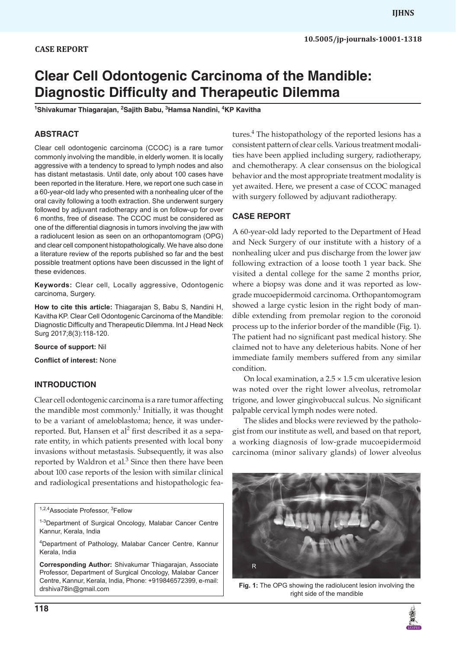# **Clear Cell Odontogenic Carcinoma of the Mandible: Diagnostic Difficulty and Therapeutic Dilemma**

**1 Shivakumar Thiagarajan, <sup>2</sup> Sajith Babu, <sup>3</sup> Hamsa Nandini, <sup>4</sup> KP Kavitha**

## **ABSTRACT**

Clear cell odontogenic carcinoma (CCOC) is a rare tumor commonly involving the mandible, in elderly women. It is locally aggressive with a tendency to spread to lymph nodes and also has distant metastasis. Until date, only about 100 cases have been reported in the literature. Here, we report one such case in a 60-year-old lady who presented with a nonhealing ulcer of the oral cavity following a tooth extraction. She underwent surgery followed by adjuvant radiotherapy and is on follow-up for over 6 months, free of disease. The CCOC must be considered as one of the differential diagnosis in tumors involving the jaw with a radiolucent lesion as seen on an orthopantomogram (OPG) and clear cell component histopathologically. We have also done a literature review of the reports published so far and the best possible treatment options have been discussed in the light of these evidences.

**Keywords:** Clear cell, Locally aggressive, Odontogenic carcinoma, Surgery.

**How to cite this article:** Thiagarajan S, Babu S, Nandini H, Kavitha KP. Clear Cell Odontogenic Carcinoma of the Mandible: Diagnostic Difficulty and Therapeutic Dilemma. Int J Head Neck Surg 2017;8(3):118-120.

**Source of support:** Nil

**Conflict of interest:** None

## **INTRODUCTION**

Clear cell odontogenic carcinoma is a rare tumor affecting the mandible most commonly.<sup>1</sup> Initially, it was thought to be a variant of ameloblastoma; hence, it was underreported. But, Hansen et al<sup>2</sup> first described it as a separate entity, in which patients presented with local bony invasions without metastasis. Subsequently, it was also reported by Waldron et al. $3$  Since then there have been about 100 case reports of the lesion with similar clinical and radiological presentations and histopathologic fea-

<sup>1,2,4</sup>Associate Professor, <sup>3</sup>Fellow

<sup>1-3</sup>Department of Surgical Oncology, Malabar Cancer Centre Kannur, Kerala, India

4 Department of Pathology, Malabar Cancer Centre, Kannur Kerala, India

**Corresponding Author:** Shivakumar Thiagarajan, Associate Professor, Department of Surgical Oncology, Malabar Cancer Centre, Kannur, Kerala, India, Phone: +919846572399, e-mail: drshiva78in@gmail.com

tures.<sup>4</sup> The histopathology of the reported lesions has a consistent pattern of clear cells. Various treatment modalities have been applied including surgery, radiotherapy, and chemotherapy. A clear consensus on the biological behavior and the most appropriate treatment modality is yet awaited. Here, we present a case of CCOC managed with surgery followed by adjuvant radiotherapy.

### **CASE REPORT**

A 60-year-old lady reported to the Department of Head and Neck Surgery of our institute with a history of a nonhealing ulcer and pus discharge from the lower jaw following extraction of a loose tooth 1 year back. She visited a dental college for the same 2 months prior, where a biopsy was done and it was reported as lowgrade mucoepidermoid carcinoma. Orthopantomogram showed a large cystic lesion in the right body of mandible extending from premolar region to the coronoid process up to the inferior border of the mandible (Fig. 1). The patient had no significant past medical history. She claimed not to have any deleterious habits. None of her immediate family members suffered from any similar condition.

On local examination, a  $2.5 \times 1.5$  cm ulcerative lesion was noted over the right lower alveolus, retromolar trigone, and lower gingivobuccal sulcus. No significant palpable cervical lymph nodes were noted.

The slides and blocks were reviewed by the pathologist from our institute as well, and based on that report, a working diagnosis of low-grade mucoepidermoid carcinoma (minor salivary glands) of lower alveolus



**Fig. 1:** The OPG showing the radiolucent lesion involving the right side of the mandible

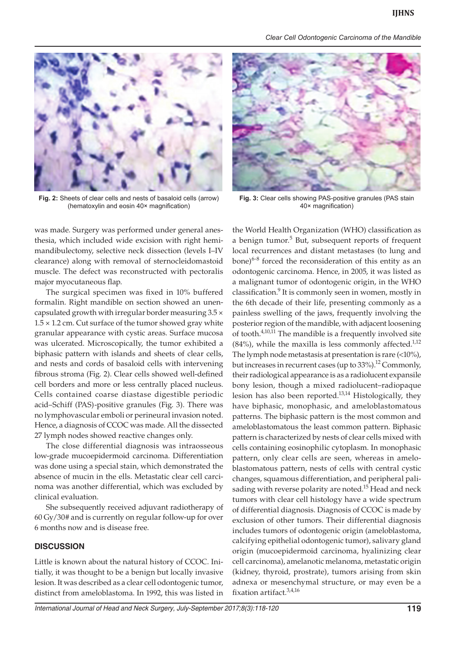*Clear Cell Odontogenic Carcinoma of the Mandible*



**Fig. 2:** Sheets of clear cells and nests of basaloid cells (arrow) (hematoxylin and eosin 40× magnification)

was made. Surgery was performed under general anesthesia, which included wide excision with right hemimandibulectomy, selective neck dissection (levels I–IV clearance) along with removal of sternocleidomastoid muscle. The defect was reconstructed with pectoralis major myocutaneous flap.

The surgical specimen was fixed in 10% buffered formalin. Right mandible on section showed an unencapsulated growth with irregular border measuring 3.5 ×  $1.5 \times 1.2$  cm. Cut surface of the tumor showed gray white granular appearance with cystic areas. Surface mucosa was ulcerated. Microscopically, the tumor exhibited a biphasic pattern with islands and sheets of clear cells, and nests and cords of basaloid cells with intervening fibrous stroma (Fig. 2). Clear cells showed well-defined cell borders and more or less centrally placed nucleus. Cells contained coarse diastase digestible periodic acid–Schiff (PAS)-positive granules (Fig. 3). There was no lymphovascular emboli or perineural invasion noted. Hence, a diagnosis of CCOC was made. All the dissected 27 lymph nodes showed reactive changes only.

The close differential diagnosis was intraosseous low-grade mucoepidermoid carcinoma. Differentiation was done using a special stain, which demonstrated the absence of mucin in the ells. Metastatic clear cell carcinoma was another differential, which was excluded by clinical evaluation.

She subsequently received adjuvant radiotherapy of 60 Gy/30# and is currently on regular follow-up for over 6 months now and is disease free.

### **DISCUSSION**

Little is known about the natural history of CCOC. Initially, it was thought to be a benign but locally invasive lesion. It was described as a clear cell odontogenic tumor, distinct from ameloblastoma. In 1992, this was listed in



**Fig. 3:** Clear cells showing PAS-positive granules (PAS stain 40× magnification)

the World Health Organization (WHO) classification as a benign tumor.<sup>5</sup> But, subsequent reports of frequent local recurrences and distant metastases (to lung and bone) $6-8$  forced the reconsideration of this entity as an odontogenic carcinoma. Hence, in 2005, it was listed as a malignant tumor of odontogenic origin, in the WHO classification.<sup>9</sup> It is commonly seen in women, mostly in the 6th decade of their life, presenting commonly as a painless swelling of the jaws, frequently involving the posterior region of the mandible, with adjacent loosening of tooth. $4,10,11$  The mandible is a frequently involved site  $(84%)$ , while the maxilla is less commonly affected.<sup>1,12</sup> The lymph node metastasis at presentation is rare  $($ <10%), but increases in recurrent cases (up to  $33\%$ ).<sup>12</sup> Commonly, their radiological appearance is as a radiolucent expansile bony lesion, though a mixed radiolucent–radiopaque lesion has also been reported.13,14 Histologically, they have biphasic, monophasic, and ameloblastomatous patterns. The biphasic pattern is the most common and ameloblastomatous the least common pattern. Biphasic pattern is characterized by nests of clear cells mixed with cells containing eosinophilic cytoplasm. In monophasic pattern, only clear cells are seen, whereas in ameloblastomatous pattern, nests of cells with central cystic changes, squamous differentiation, and peripheral palisading with reverse polarity are noted.<sup>15</sup> Head and neck tumors with clear cell histology have a wide spectrum of differential diagnosis. Diagnosis of CCOC is made by exclusion of other tumors. Their differential diagnosis includes tumors of odontogenic origin (ameloblastoma, calcifying epithelial odontogenic tumor), salivary gland origin (mucoepidermoid carcinoma, hyalinizing clear cell carcinoma), amelanotic melanoma, metastatic origin (kidney, thyroid, prostrate), tumors arising from skin adnexa or mesenchymal structure, or may even be a fixation artifact.<sup>3,4,16</sup>